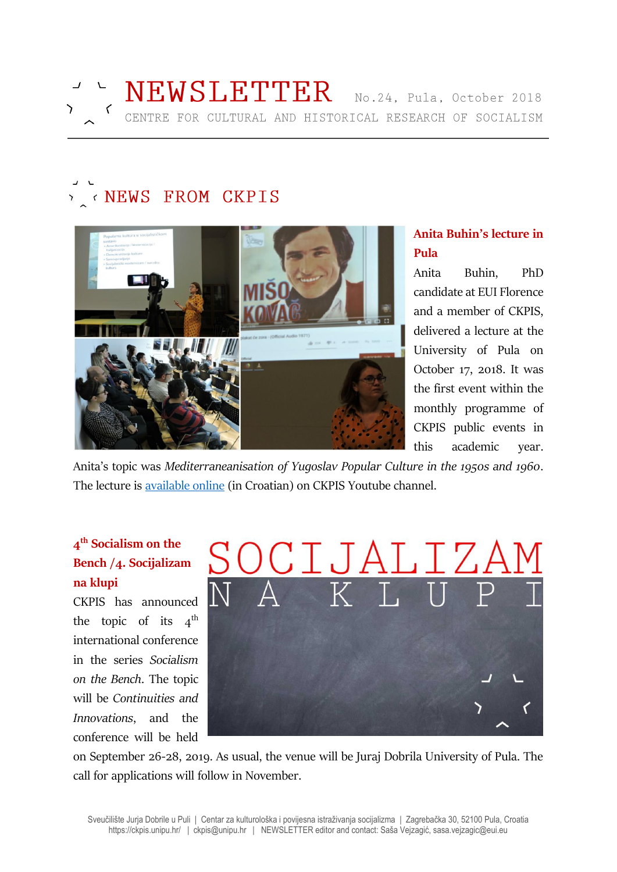# KNEWS FROM CKPIS



# **Anita Buhin's lecture in Pula**

Anita Buhin, PhD candidate at EUI Florence and a member of CKPIS, delivered a lecture at the University of Pula on October 17, 2018. It was the first event within the monthly programme of CKPIS public events in this academic year.

Anita's topic was *Mediterraneanisation of Yugoslav Popular Culture in the 1950s and 1960*. The lecture is [available online](https://youtu.be/UypaLD3XXBo) (in Croatian) on CKPIS Youtube channel.

# **4 th Socialism on the Bench /4. Socijalizam na klupi**

CKPIS has announced the topic of its  $4^{\text{th}}$ international conference in the series *Socialism on the Bench*. The topic will be *Continuities and Innovations*, and the conference will be held



on September 26-28, 2019. As usual, the venue will be Juraj Dobrila University of Pula. The call for applications will follow in November.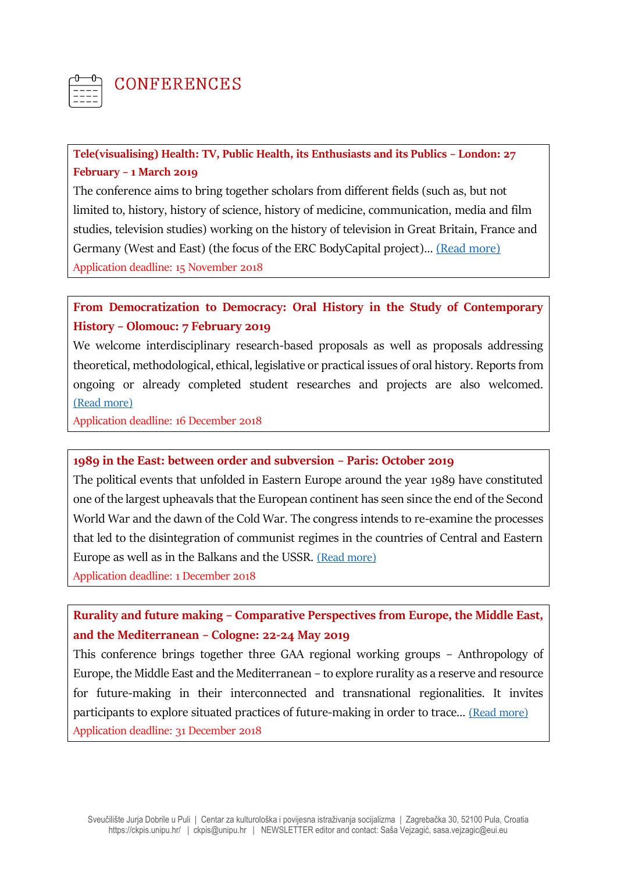

# **CONFERENCES**

## **Tele(visualising) Health: TV, Public Health, its Enthusiasts and its Publics – London: 27 February – 1 March 2019**

The conference aims to bring together scholars from different fields (such as, but not limited to, history, history of science, history of medicine, communication, media and film studies, television studies) working on the history of television in Great Britain, France and Germany (West and East) (the focus of the ERC BodyCapital project)… [\(Read more\)](https://bodycapital.unistra.fr/) Application deadline: 15 November 2018

## **From Democratization to Democracy: Oral History in the Study of Contemporary History – Olomouc: 7 February 2019**

We welcome interdisciplinary research-based proposals as well as proposals addressing theoretical, methodological, ethical, legislative or practical issues of oral history. Reports from ongoing or already completed student researches and projects are also welcomed. [\(Read more\)](http://www.coh.usd.cas.cz/wp-content/uploads/CFP_Oral_History_Conference_2019_EN.pdf)

Application deadline: 16 December 2018

### **1989 in the East: between order and subversion – Paris: October 2019**

The political events that unfolded in Eastern Europe around the year 1989 have constituted one of the largest upheavals that the European continent has seen since the end of the Second World War and the dawn of the Cold War. The congress intends to re-examine the processes that led to the disintegration of communist regimes in the countries of Central and Eastern Europe as well as in the Balkans and the USSR. [\(Read more\)](https://calenda.org/479747) Application deadline: 1 December 2018

# **Rurality and future making – Comparative Perspectives from Europe, the Middle East, and the Mediterranean – Cologne: 22-24 May 2019**

This conference brings together three GAA regional working groups – Anthropology of Europe, the Middle East and the Mediterranean – to explore rurality as a reserve and resource for future-making in their interconnected and transnational regionalities. It invites participants to explore situated practices of future-making in order to trace… [\(Read more\)](https://hcommons.org/deposits/objects/hc:21388/datastreams/CONTENT/content) Application deadline: 31 December 2018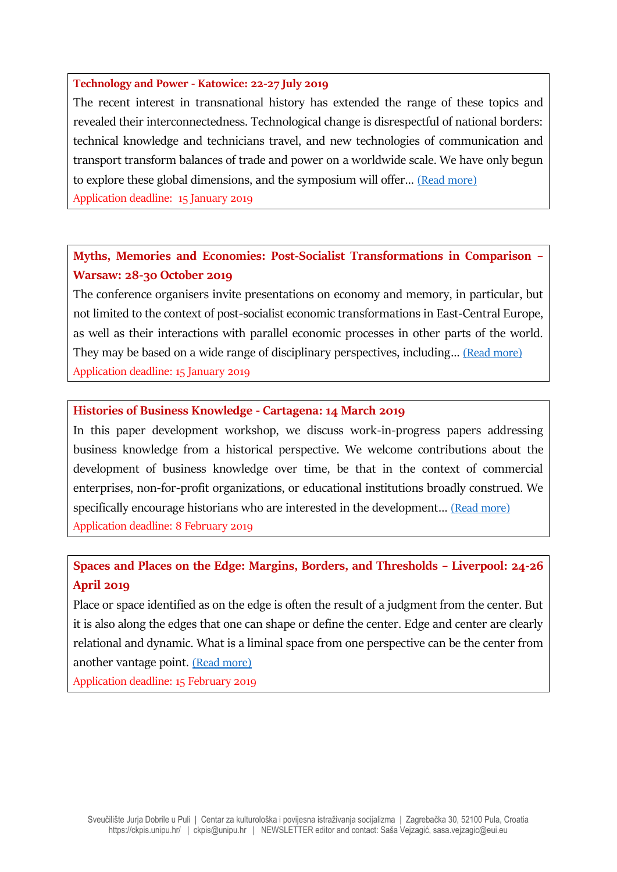#### **Technology and Power - Katowice: 22-27 July 2019**

The recent interest in transnational history has extended the range of these topics and revealed their interconnectedness. Technological change is disrespectful of national borders: technical knowledge and technicians travel, and new technologies of communication and transport transform balances of trade and power on a worldwide scale. We have only begun to explore these global dimensions, and the symposium will offer… [\(Read more\)](http://www.icohtec.org/w-annual-meeting/katowice-2019/) Application deadline: 15 January 2019

# **Myths, Memories and Economies: Post-Socialist Transformations in Comparison – Warsaw: 28-30 October 2019**

The conference organisers invite presentations on economy and memory, in particular, but not limited to the context of post-socialist economic transformations in East-Central Europe, as well as their interactions with parallel economic processes in other parts of the world. They may be based on a wide range of disciplinary perspectives, including… [\(Read more\)](http://enrs.eu/cfp-myths-memories-economies) Application deadline: 15 January 2019

#### **Histories of Business Knowledge - Cartagena: 14 March 2019**

In this paper development workshop, we discuss work-in-progress papers addressing business knowledge from a historical perspective. We welcome contributions about the development of business knowledge over time, be that in the context of commercial enterprises, non-for-profit organizations, or educational institutions broadly construed. We specifically encourage historians who are interested in the development... [\(Read more\)](http://aom.org/uploadedFiles/Publications/AMLE/Cartagena.pdf) Application deadline: 8 February 2019

# **Spaces and Places on the Edge: Margins, Borders, and Thresholds – Liverpool: 24-26 April 2019**

Place or space identified as on the edge is often the result of a judgment from the center. But it is also along the edges that one can shape or define the center. Edge and center are clearly relational and dynamic. What is a liminal space from one perspective can be the center from another vantage point. [\(Read more\)](https://urbanmorphosis.wixsite.com/urbanlab/news-1/international-conference-three-decades-of-post-socialist-transition-1989-2019)

Application deadline: 15 February 2019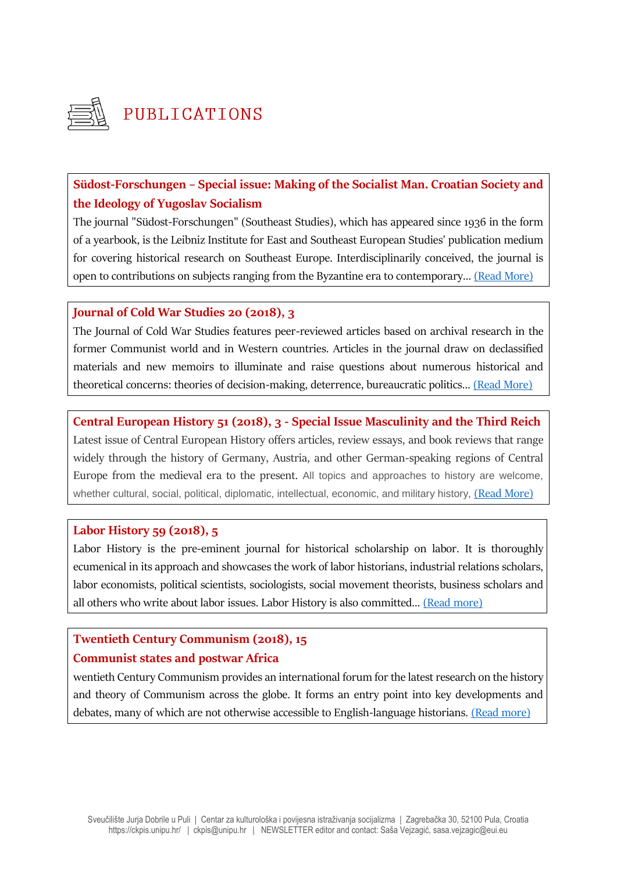

# PUBLICATIONS

# **Südost-Forschungen – Special issue: Making of the Socialist Man. Croatian Society and the Ideology of Yugoslav Socialism**

The journal "Südost-Forschungen" (Southeast Studies), which has appeared since 1936 in the form of a yearbook, is the Leibniz Institute for East and Southeast European Studies' publication medium for covering historical research on Southeast Europe. Interdisciplinarily conceived, the journal is open to contributions on subjects ranging from the Byzantine era to contemporary… [\(Read More\)](https://www.ios-regensburg.de/ios-publikationen/zeitschriften/suedost-forschungen.html)

#### **Journal of Cold War Studies 20 (2018), 3**

The Journal of Cold War Studies features peer-reviewed articles based on archival research in the former Communist world and in Western countries. Articles in the journal draw on declassified materials and new memoirs to illuminate and raise questions about numerous historical and theoretical concerns: theories of decision-making, deterrence, bureaucratic politics… [\(Read More\)](https://www.mitpressjournals.org/toc/jcws/20/3)

# **Central European History 51 (2018), 3 - Special Issue Masculinity and the Third Reich**

Latest issue of Central European History offers articles, review essays, and book reviews that range widely through the history of Germany, Austria, and other German-speaking regions of Central Europe from the medieval era to the present. All topics and approaches to history are welcome, whether cultural, social, political, diplomatic, intellectual, economic, and military history, [\(Read More\)](https://www.cambridge.org/core/journals/central-european-history/latest-issue)

### **Labor History 59 (2018), 5**

Labor History is the pre-eminent journal for historical scholarship on labor. It is thoroughly ecumenical in its approach and showcases the work of labor historians, industrial relations scholars, labor economists, political scientists, sociologists, social movement theorists, business scholars and all others who write about labor issues. Labor History is also committed… [\(Read more\)](https://www.tandfonline.com/toc/clah20/59/5?nav=tocList&)

# **Twentieth Century Communism (2018), 15**

### **Communist states and postwar Africa**

wentieth Century Communism provides an international forum for the latest research on the history and theory of Communism across the globe. It forms an entry point into key developments and debates, many of which are not otherwise accessible to English-language historians. [\(Read more\)](https://www.lwbooks.co.uk/twentieth-century-communism/15)